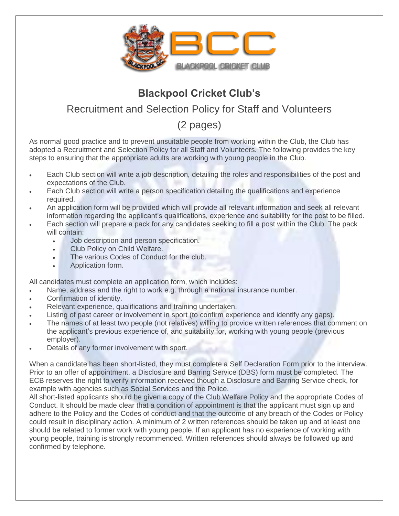

## **Blackpool Cricket Club's**

## Recruitment and Selection Policy for Staff and Volunteers

(2 pages)

As normal good practice and to prevent unsuitable people from working within the Club, the Club has adopted a Recruitment and Selection Policy for all Staff and Volunteers. The following provides the key steps to ensuring that the appropriate adults are working with young people in the Club.

- Each Club section will write a job description, detailing the roles and responsibilities of the post and expectations of the Club.
- Each Club section will write a person specification detailing the qualifications and experience required.
- An application form will be provided which will provide all relevant information and seek all relevant information regarding the applicant's qualifications, experience and suitability for the post to be filled.
- Each section will prepare a pack for any candidates seeking to fill a post within the Club. The pack will contain:
	- Job description and person specification.
	- Club Policy on Child Welfare.
	- The various Codes of Conduct for the club.
	- Application form.

All candidates must complete an application form, which includes:

- Name, address and the right to work e.g. through a national insurance number.
- Confirmation of identity.
- Relevant experience, qualifications and training undertaken.
- Listing of past career or involvement in sport (to confirm experience and identify any gaps).
- The names of at least two people (not relatives) willing to provide written references that comment on the applicant's previous experience of, and suitability for, working with young people (previous employer).
- Details of any former involvement with sport.

When a candidate has been short-listed, they must complete a Self Declaration Form prior to the interview. Prior to an offer of appointment, a Disclosure and Barring Service (DBS) form must be completed. The ECB reserves the right to verify information received though a Disclosure and Barring Service check, for example with agencies such as Social Services and the Police.

All short-listed applicants should be given a copy of the Club Welfare Policy and the appropriate Codes of Conduct. It should be made clear that a condition of appointment is that the applicant must sign up and adhere to the Policy and the Codes of conduct and that the outcome of any breach of the Codes or Policy could result in disciplinary action. A minimum of 2 written references should be taken up and at least one should be related to former work with young people. If an applicant has no experience of working with young people, training is strongly recommended. Written references should always be followed up and confirmed by telephone.